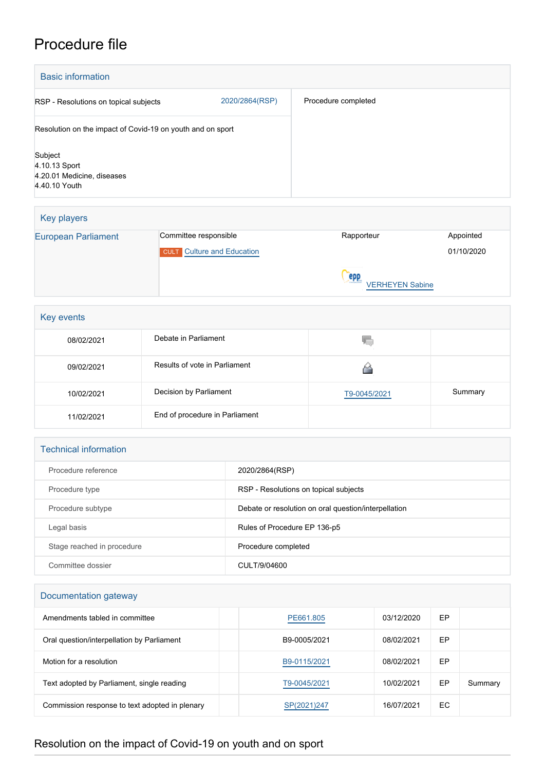# Procedure file

| <b>Basic information</b>                                                |                |                     |  |
|-------------------------------------------------------------------------|----------------|---------------------|--|
| RSP - Resolutions on topical subjects                                   | 2020/2864(RSP) | Procedure completed |  |
| Resolution on the impact of Covid-19 on youth and on sport              |                |                     |  |
| Subject<br>4.10.13 Sport<br>4.20.01 Medicine, diseases<br>4.40.10 Youth |                |                     |  |

| Key players                |                                   |                               |            |
|----------------------------|-----------------------------------|-------------------------------|------------|
| <b>European Parliament</b> | Committee responsible             | Rapporteur                    | Appointed  |
|                            | <b>CULT</b> Culture and Education |                               | 01/10/2020 |
|                            |                                   | epp<br><b>VERHEYEN Sabine</b> |            |

| Key events |                                |              |         |
|------------|--------------------------------|--------------|---------|
| 08/02/2021 | Debate in Parliament           | W.           |         |
| 09/02/2021 | Results of vote in Parliament  |              |         |
| 10/02/2021 | Decision by Parliament         | T9-0045/2021 | Summary |
| 11/02/2021 | End of procedure in Parliament |              |         |

### Technical information

| Procedure reference        | 2020/2864(RSP)                                       |
|----------------------------|------------------------------------------------------|
| Procedure type             | RSP - Resolutions on topical subjects                |
| Procedure subtype          | Debate or resolution on oral question/interpellation |
| Legal basis                | Rules of Procedure EP 136-p5                         |
| Stage reached in procedure | Procedure completed                                  |
| Committee dossier          | CULT/9/04600                                         |

## Documentation gateway

| Amendments tabled in committee                 | PE661.805    | 03/12/2020 | EP |         |
|------------------------------------------------|--------------|------------|----|---------|
| Oral question/interpellation by Parliament     | B9-0005/2021 | 08/02/2021 | EP |         |
| Motion for a resolution                        | B9-0115/2021 | 08/02/2021 | EP |         |
| Text adopted by Parliament, single reading     | T9-0045/2021 | 10/02/2021 | EP | Summary |
| Commission response to text adopted in plenary | SP(2021)247  | 16/07/2021 | EC |         |

## Resolution on the impact of Covid-19 on youth and on sport